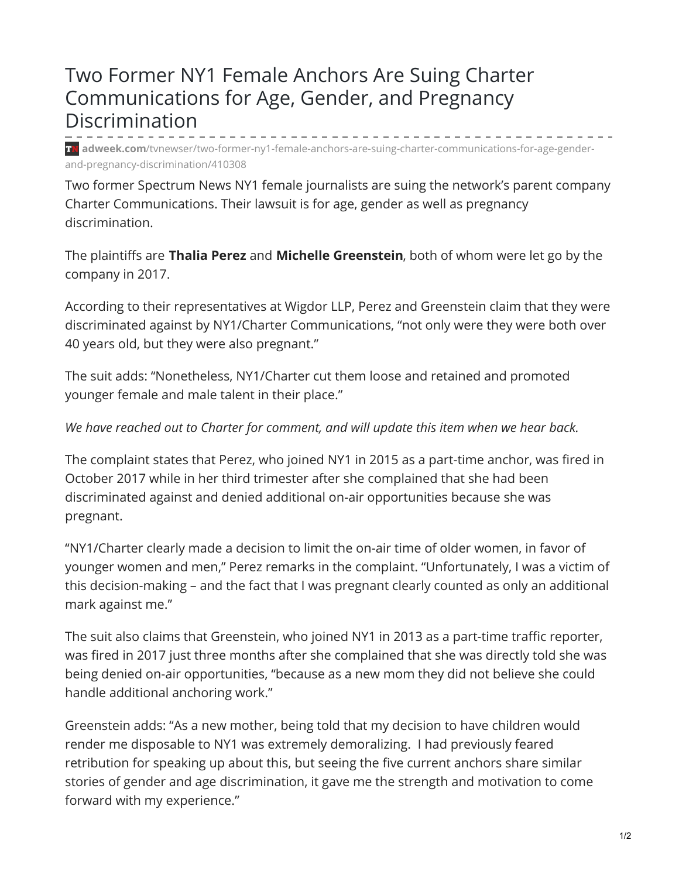## Two Former NY1 Female Anchors Are Suing Charter Communications for Age, Gender, and Pregnancy Discrimination

**adweek.com**[/tvnewser/two-former-ny1-female-anchors-are-suing-charter-communications-for-age-gender](https://www.adweek.com/tvnewser/two-former-ny1-female-anchors-are-suing-charter-communications-for-age-gender-and-pregnancy-discrimination/410308/)and-pregnancy-discrimination/410308

Two former Spectrum News NY1 female journalists are suing the network's parent company Charter Communications. Their lawsuit is for age, gender as well as pregnancy discrimination.

The plaintiffs are **Thalia Perez** and **Michelle Greenstein**, both of whom were let go by the company in 2017.

According to their representatives at Wigdor LLP, Perez and Greenstein claim that they were discriminated against by NY1/Charter Communications, "not only were they were both over 40 years old, but they were also pregnant."

The suit adds: "Nonetheless, NY1/Charter cut them loose and retained and promoted younger female and male talent in their place."

## *We have reached out to Charter for comment, and will update this item when we hear back.*

The complaint states that Perez, who joined NY1 in 2015 as a part-time anchor, was fired in October 2017 while in her third trimester after she complained that she had been discriminated against and denied additional on-air opportunities because she was pregnant.

"NY1/Charter clearly made a decision to limit the on-air time of older women, in favor of younger women and men," Perez remarks in the complaint. "Unfortunately, I was a victim of this decision-making – and the fact that I was pregnant clearly counted as only an additional mark against me."

The suit also claims that Greenstein, who joined NY1 in 2013 as a part-time traffic reporter, was fired in 2017 just three months after she complained that she was directly told she was being denied on-air opportunities, "because as a new mom they did not believe she could handle additional anchoring work."

Greenstein adds: "As a new mother, being told that my decision to have children would render me disposable to NY1 was extremely demoralizing. I had previously feared retribution for speaking up about this, but seeing the five current anchors share similar stories of gender and age discrimination, it gave me the strength and motivation to come forward with my experience."